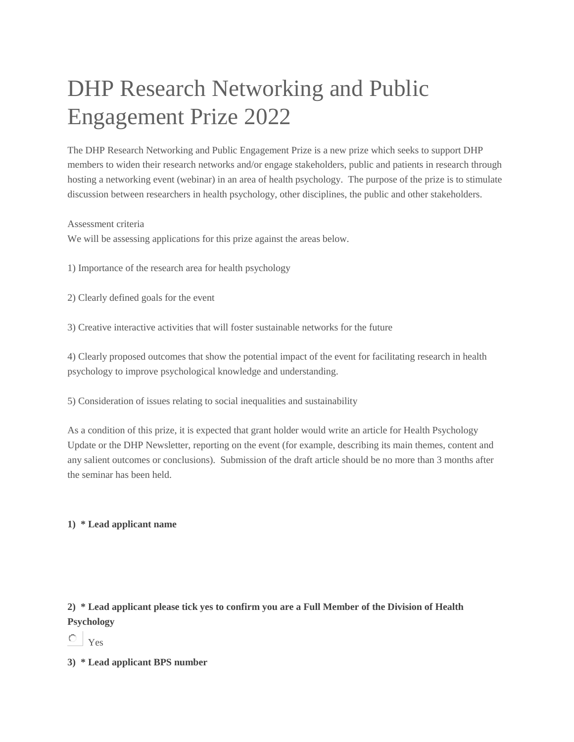## DHP Research Networking and Public Engagement Prize 2022

The DHP Research Networking and Public Engagement Prize is a new prize which seeks to support DHP members to widen their research networks and/or engage stakeholders, public and patients in research through hosting a networking event (webinar) in an area of health psychology. The purpose of the prize is to stimulate discussion between researchers in health psychology, other disciplines, the public and other stakeholders.

Assessment criteria

We will be assessing applications for this prize against the areas below.

1) Importance of the research area for health psychology

2) Clearly defined goals for the event

3) Creative interactive activities that will foster sustainable networks for the future

4) Clearly proposed outcomes that show the potential impact of the event for facilitating research in health psychology to improve psychological knowledge and understanding.

5) Consideration of issues relating to social inequalities and sustainability

As a condition of this prize, it is expected that grant holder would write an article for Health Psychology Update or the DHP Newsletter, reporting on the event (for example, describing its main themes, content and any salient outcomes or conclusions). Submission of the draft article should be no more than 3 months after the seminar has been held.

## **1) \* Lead applicant name**

## **2) \* Lead applicant please tick yes to confirm you are a Full Member of the Division of Health Psychology**

 $\circ$ Yes

**3) \* Lead applicant BPS number**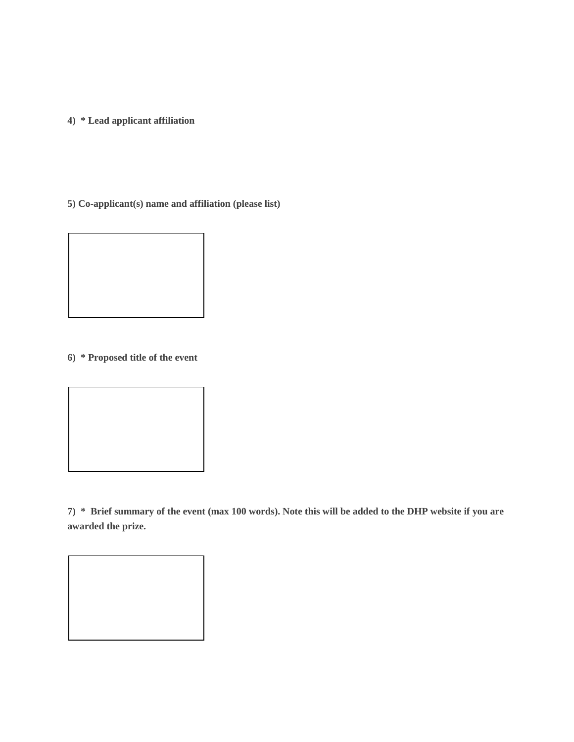**4) \* Lead applicant affiliation**

**5) Co-applicant(s) name and affiliation (please list)**



**7) \* Brief summary of the event (max 100 words). Note this will be added to the DHP website if you are awarded the prize.**

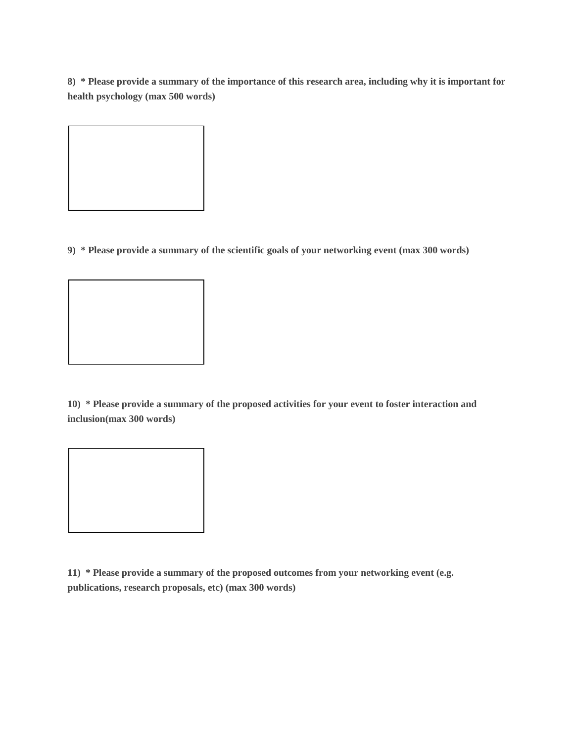**8) \* Please provide a summary of the importance of this research area, including why it is important for health psychology (max 500 words)**



**9) \* Please provide a summary of the scientific goals of your networking event (max 300 words)**

**10) \* Please provide a summary of the proposed activities for your event to foster interaction and inclusion(max 300 words)** 

**11) \* Please provide a summary of the proposed outcomes from your networking event (e.g. publications, research proposals, etc) (max 300 words)**